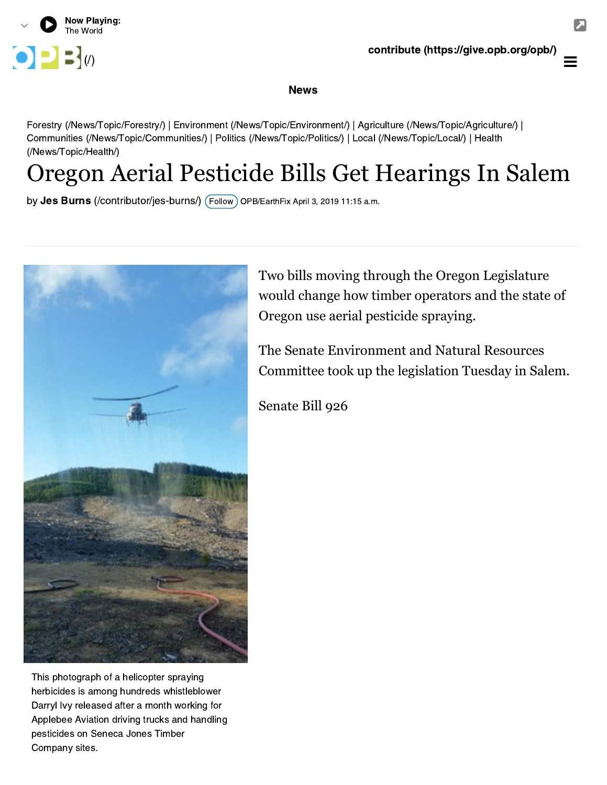

## contribute [\(https://give.opb.org/opb/\)](https://give.opb.org/opb/)

## News

[Forestry \(/News/Topic/Forestry/\)](https://www.opb.org/news/topic/forestry/) | [Environment \(/News/Topic/Environment/\)](https://www.opb.org/news/topic/environment/) | [Agriculture \(/News/Topic/Agriculture/\)](https://www.opb.org/news/topic/agriculture/) | [Communities \(/News/Topic/Communities/\) | Politics \(/News/Topic/Politics/\) | Local \(/News/Topic/Local/\) | Health](https://www.opb.org/news/topic/health/) (/News/Topic/Health/)

## Oregon Aerial Pesticide Bills Get Hearings In Salem

by **Jes Burns** (/contributor/jes-burns/) (Follow<sub>.</sub>) OPB/EarthFix April 3, 2019 11:15 a.m.



Two bills moving through the Oregon Legislature would change how timber operators and the state of Oregon use aerial pesticide spraying.

The Senate Environment and Natural Resources Committee took up the legislation Tuesday in Salem.

Senate Bill 926

This photograph of a helicopter spraying herbicides is among hundreds whistleblower Darryl Ivy released after a month working for [Applebee Aviation driving trucks and handling](https://olis.leg.state.or.us/liz/2019R1/Measures/Overview/SB926) pesticides on Seneca Jones Timber Company sites.

 $\equiv$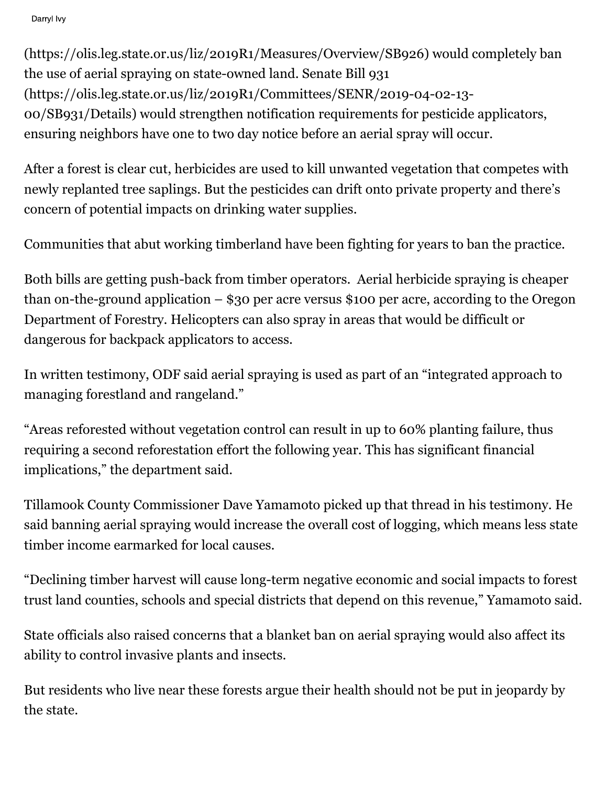Darryl Ivy

[\(https://olis.leg.state.or.us/liz/2019R1/Measures/Overview/SB926\)](https://olis.leg.state.or.us/liz/2019R1/Measures/Overview/SB926) would completely ban the use of aerial spraying on state-owned land. Senate Bill 931 [\(https://olis.leg.state.or.us/liz/2019R1/Committees/SENR/2019-04-02-13-](https://olis.leg.state.or.us/liz/2019R1/Committees/SENR/2019-04-02-13-00/SB931/Details) 00/SB931/Details) would strengthen notification requirements for pesticide applicators, ensuring neighbors have one to two day notice before an aerial spray will occur.

After a forest is clear cut, herbicides are used to kill unwanted vegetation that competes with newly replanted tree saplings. But the pesticides can drift onto private property and there's concern of potential impacts on drinking water supplies.

Communities that abut working timberland have been fighting for years to ban the practice.

Both bills are getting push-back from timber operators. Aerial herbicide spraying is cheaper than on-the-ground application – \$30 per acre versus \$100 per acre, according to the Oregon Department of Forestry. Helicopters can also spray in areas that would be difficult or dangerous for backpack applicators to access.

In written testimony, ODF said aerial spraying is used as part of an "integrated approach to managing forestland and rangeland."

"Areas reforested without vegetation control can result in up to 60% planting failure, thus requiring a second reforestation effort the following year. This has significant financial implications," the department said.

Tillamook County Commissioner Dave Yamamoto picked up that thread in his testimony. He said banning aerial spraying would increase the overall cost of logging, which means less state timber income earmarked for local causes.

"Declining timber harvest will cause long-term negative economic and social impacts to forest trust land counties, schools and special districts that depend on this revenue," Yamamoto said.

State officials also raised concerns that a blanket ban on aerial spraying would also affect its ability to control invasive plants and insects.

But residents who live near these forests argue their health should not be put in jeopardy by the state.